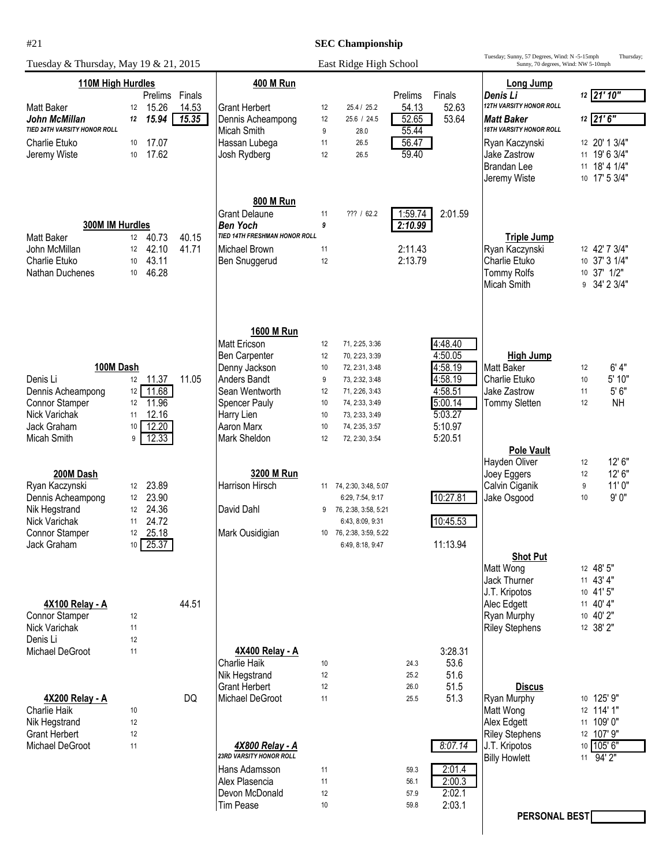## **SEC Championship**

| Tuesday & Thursday, May 19 & 21, 2015                      | East Ridge High School       |                 |                                                 |          |                                             | Tuesday; Sunny, 57 Degrees, Wind: N -5-15mph<br>Sunny, 70 degrees, Wind: NW 5-10mph |                    | Thursday;                                        |          |                                |
|------------------------------------------------------------|------------------------------|-----------------|-------------------------------------------------|----------|---------------------------------------------|-------------------------------------------------------------------------------------|--------------------|--------------------------------------------------|----------|--------------------------------|
| 110M High Hurdles                                          |                              |                 | <b>400 M Run</b>                                |          |                                             |                                                                                     | Long Jump          |                                                  |          |                                |
| <b>Matt Baker</b><br>12                                    | Prelims<br>15.26             | Finals<br>14.53 | <b>Grant Herbert</b>                            | 12       | 25.4 / 25.2                                 | Prelims<br>54.13                                                                    | Finals<br>52.63    | Denis Li<br>12TH VARSITY HONOR ROLL              |          | 12 21' 10"                     |
| John McMillan<br>12                                        | 15.94                        | 15.35           | Dennis Acheampong                               | 12       | 25.6 / 24.5                                 | 52.65                                                                               | 53.64              | <b>Matt Baker</b>                                |          | 12 21'6"                       |
| TIED 24TH VARSITY HONOR ROLL<br><b>Charlie Etuko</b><br>10 | 17.07                        |                 | <b>Micah Smith</b><br>Hassan Lubega             | 9<br>11  | 28.0<br>26.5                                | 55.44<br>56.47                                                                      |                    | <b>18TH VARSITY HONOR ROLL</b><br>Ryan Kaczynski |          | 12 20' 1 3/4"                  |
| Jeremy Wiste<br>10                                         | 17.62                        |                 | Josh Rydberg                                    | 12       | 26.5                                        | 59.40                                                                               |                    | Jake Zastrow                                     |          | 11 19' 6 3/4"                  |
|                                                            |                              |                 |                                                 |          |                                             |                                                                                     |                    | Brandan Lee                                      |          | 11 18' 4 1/4"                  |
|                                                            |                              |                 |                                                 |          |                                             |                                                                                     |                    | Jeremy Wiste                                     |          | 10 17' 5 3/4"                  |
|                                                            |                              |                 | <b>800 M Run</b>                                |          |                                             |                                                                                     |                    |                                                  |          |                                |
| 300M IM Hurdles                                            |                              |                 | <b>Grant Delaune</b><br><b>Ben Yoch</b>         | 11<br>9  | ??? / 62.2                                  | 1:59.74<br>2:10.99                                                                  | 2:01.59            |                                                  |          |                                |
| <b>Matt Baker</b><br>12                                    | 40.73                        | 40.15           | TIED 14TH FRESHMAN HONOR ROLL                   |          |                                             |                                                                                     |                    | <b>Triple Jump</b>                               |          |                                |
| John McMillan<br>12<br>Charlie Etuko<br>10                 | 42.10<br>43.11               | 41.71           | Michael Brown<br>Ben Snuggerud                  | 11<br>12 |                                             | 2:11.43<br>2:13.79                                                                  |                    | Ryan Kaczynski<br><b>Charlie Etuko</b>           |          | 12 42' 7 3/4"<br>10 37' 3 1/4" |
| Nathan Duchenes<br>10                                      | 46.28                        |                 |                                                 |          |                                             |                                                                                     |                    | <b>Tommy Rolfs</b>                               |          | 10 37' 1/2"                    |
|                                                            |                              |                 |                                                 |          |                                             |                                                                                     |                    | <b>Micah Smith</b>                               |          | $9 \quad 34' 2 \quad 3/4"$     |
|                                                            |                              |                 |                                                 |          |                                             |                                                                                     |                    |                                                  |          |                                |
|                                                            |                              |                 |                                                 |          |                                             |                                                                                     |                    |                                                  |          |                                |
|                                                            |                              |                 | 1600 M Run<br><b>Matt Ericson</b>               | 12       | 71, 2:25, 3:36                              |                                                                                     | 4:48.40            |                                                  |          |                                |
|                                                            |                              |                 | Ben Carpenter                                   | 12       | 70, 2:23, 3:39                              |                                                                                     | 4:50.05            | High Jump                                        |          |                                |
| 100M Dash<br>Denis Li                                      | 12 11.37                     | 11.05           | Denny Jackson<br><b>Anders Bandt</b>            | 10       | 72, 2:31, 3:48                              |                                                                                     | 4:58.19<br>4:58.19 | <b>Matt Baker</b><br><b>Charlie Etuko</b>        | 12       | 6'4"<br>5' 10"                 |
| Dennis Acheampong<br>12                                    | 11.68                        |                 | Sean Wentworth                                  | 9<br>12  | 73, 2:32, 3:48<br>71, 2:26, 3:43            |                                                                                     | 4:58.51            | Jake Zastrow                                     | 10<br>11 | $5'6"$                         |
| <b>Connor Stamper</b><br>12                                | 11.96                        |                 | Spencer Pauly                                   | 10       | 74, 2:33, 3:49                              |                                                                                     | 5:00.14            | Tommy Sletten                                    | 12       | <b>NH</b>                      |
| Nick Varichak<br>11<br>Jack Graham<br>10                   | 12.16<br>12.20               |                 | Harry Lien<br>Aaron Marx                        | 10<br>10 | 73, 2:33, 3:49<br>74, 2:35, 3:57            |                                                                                     | 5:03.27<br>5:10.97 |                                                  |          |                                |
| Micah Smith<br>9                                           | 12.33                        |                 | Mark Sheldon                                    | 12       | 72, 2:30, 3:54                              |                                                                                     | 5:20.51            |                                                  |          |                                |
|                                                            |                              |                 |                                                 |          |                                             |                                                                                     |                    | <b>Pole Vault</b><br>Hayden Oliver               | 12       | 12'6''                         |
| 200M Dash                                                  |                              |                 | 3200 M Run                                      |          |                                             |                                                                                     |                    | Joey Eggers                                      | 12       | 12' 6"                         |
| Ryan Kaczynski<br>12                                       | 23.89                        |                 | <b>Harrison Hirsch</b>                          |          | 11 74, 2:30, 3:48, 5:07                     |                                                                                     |                    | Calvin Ciganik                                   | 9        | 11'0"                          |
| Dennis Acheampong<br>12<br>Nik Hegstrand<br>12             | 23.90<br>24.36               |                 | David Dahl                                      | 9        | 6:29, 7:54, 9:17<br>76, 2:38, 3:58, 5:21    |                                                                                     | 10:27.81           | Jake Osgood                                      | 10       | 9'0"                           |
| Nick Varichak<br>11                                        | 24.72                        |                 |                                                 |          | 6:43, 8:09, 9:31                            |                                                                                     | 10:45.53           |                                                  |          |                                |
| <b>Connor Stamper</b><br>Jack Graham                       | 12 25.18<br>$10 \quad 25.37$ |                 | Mark Ousidigian                                 |          | 10 76, 2:38, 3:59, 5:22<br>6:49, 8:18, 9:47 |                                                                                     | 11:13.94           |                                                  |          |                                |
|                                                            |                              |                 |                                                 |          |                                             |                                                                                     |                    | <b>Shot Put</b>                                  |          |                                |
|                                                            |                              |                 |                                                 |          |                                             |                                                                                     |                    | Matt Wong<br>Jack Thurner                        |          | 12 48' 5"<br>11 43' 4"         |
|                                                            |                              |                 |                                                 |          |                                             |                                                                                     |                    | J.T. Kripotos                                    |          | 10 41' 5"                      |
| 4X100 Relay - A<br>Connor Stamper<br>12                    |                              | 44.51           |                                                 |          |                                             |                                                                                     |                    | Alec Edgett<br>Ryan Murphy                       |          | 11 40' 4"<br>10 40' 2"         |
| Nick Varichak<br>11                                        |                              |                 |                                                 |          |                                             |                                                                                     |                    | <b>Riley Stephens</b>                            |          | 12 38' 2"                      |
| 12<br>Denis Li                                             |                              |                 |                                                 |          |                                             |                                                                                     |                    |                                                  |          |                                |
| Michael DeGroot<br>11                                      |                              |                 | 4X400 Relay - A<br><b>Charlie Haik</b>          | 10       |                                             | 24.3                                                                                | 3:28.31<br>53.6    |                                                  |          |                                |
|                                                            |                              |                 | Nik Hegstrand                                   | 12       |                                             | 25.2                                                                                | 51.6               |                                                  |          |                                |
| 4X200 Relay - A                                            |                              | DQ              | <b>Grant Herbert</b><br>Michael DeGroot         | 12<br>11 |                                             | 26.0<br>25.5                                                                        | 51.5<br>51.3       | <b>Discus</b><br>Ryan Murphy                     |          | 10 125' 9"                     |
| Charlie Haik<br>10                                         |                              |                 |                                                 |          |                                             |                                                                                     |                    | Matt Wong                                        |          | 12 114' 1"                     |
| Nik Hegstrand<br>12<br><b>Grant Herbert</b><br>12          |                              |                 |                                                 |          |                                             |                                                                                     |                    | Alex Edgett<br><b>Riley Stephens</b>             |          | 11 109' 0"<br>12 107' 9"       |
| Michael DeGroot<br>11                                      |                              |                 | 4X800 Relay - A                                 |          |                                             |                                                                                     | 8:07.14            | J.T. Kripotos                                    |          | 10 105' 6"                     |
|                                                            |                              |                 | <b>23RD VARSITY HONOR ROLL</b><br>Hans Adamsson | 11       |                                             |                                                                                     | 2:01.4             | <b>Billy Howlett</b>                             |          | $11 \overline{94'2"$           |
|                                                            |                              |                 | Alex Plasencia                                  | 11       |                                             | 59.3<br>56.1                                                                        | 2:00.3             |                                                  |          |                                |
|                                                            |                              |                 | Devon McDonald                                  | 12       |                                             | 57.9                                                                                | 2:02.1             |                                                  |          |                                |
|                                                            |                              |                 | Tim Pease                                       | $10$     |                                             | 59.8                                                                                | 2:03.1             | PERSONAL BEST                                    |          |                                |